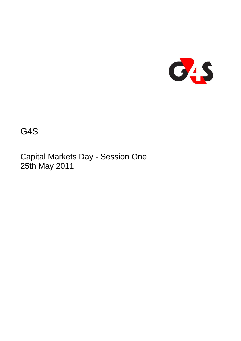

G4S

Capital Markets Day - Session One 25th May 2011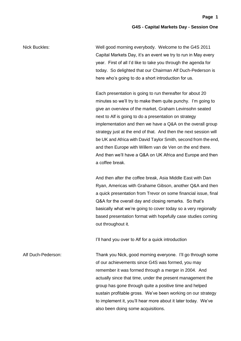Nick Buckles: Well good morning everybody. Welcome to the G4S 2011 Capital Markets Day, it's an event we try to run in May every year. First of all I'd like to take you through the agenda for today. So delighted that our Chairman Alf Duch-Pederson is here who's going to do a short introduction for us.

> Each presentation is going to run thereafter for about 20 minutes so we'll try to make them quite punchy. I'm going to give an overview of the market, Graham Levinsohn seated next to Alf is going to do a presentation on strategy implementation and then we have a Q&A on the overall group strategy just at the end of that. And then the next session will be UK and Africa with David Taylor Smith, second from the end, and then Europe with Willem van de Ven on the end there. And then we'll have a Q&A on UK Africa and Europe and then a coffee break.

> And then after the coffee break, Asia Middle East with Dan Ryan, Americas with Grahame Gibson, another Q&A and then a quick presentation from Trevor on some financial issue, final Q&A for the overall day and closing remarks. So that's basically what we're going to cover today so a very regionally based presentation format with hopefully case studies coming out throughout it.

I'll hand you over to Alf for a quick introduction

Alf Duch-Pederson: Thank you Nick, good morning everyone. I'll go through some of our achievements since G4S was formed, you may remember it was formed through a merger in 2004. And actually since that time, under the present management the group has gone through quite a positive time and helped sustain profitable gross. We've been working on our strategy to implement it, you'll hear more about it later today. We've also been doing some acquisitions.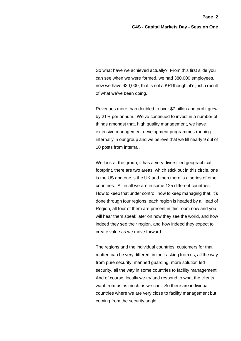So what have we achieved actually? From this first slide you can see when we were formed, we had 380,000 employees, now we have 620,000, that is not a KPI though, it's just a result of what we've been doing.

Revenues more than doubled to over \$7 billon and profit grew by 21% per annum. We've continued to invest in a number of things amongst that, high quality management, we have extensive management development programmes running internally in our group and we believe that we fill nearly 9 out of 10 posts from internal.

We look at the group, it has a very diversified geographical footprint, there are two areas, which stick out in this circle, one is the US and one is the UK and then there is a series of other countries. All in all we are in some 125 different countries. How to keep that under control, how to keep managing that, it's done through four regions, each region is headed by a Head of Region, all four of them are present in this room now and you will hear them speak later on how they see the world, and how indeed they see their region, and how indeed they expect to create value as we move forward.

The regions and the individual countries, customers for that matter, can be very different in their asking from us, all the way from pure security, manned guarding, more solution led security, all the way in some countries to facility management. And of course, locally we try and respond to what the clients want from us as much as we can. So there are individual countries where we are very close to facility management but coming from the security angle.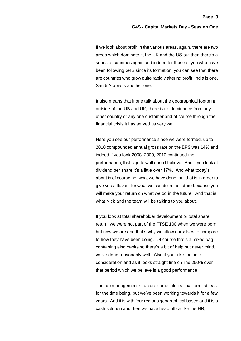If we look about profit in the various areas, again, there are two areas which dominate it, the UK and the US but then there's a series of countries again and indeed for those of you who have been following G4S since its formation, you can see that there are countries who grow quite rapidly altering profit, India is one, Saudi Arabia is another one.

It also means that if one talk about the geographical footprint outside of the US and UK, there is no dominance from any other country or any one customer and of course through the financial crisis it has served us very well.

Here you see our performance since we were formed, up to 2010 compounded annual gross rate on the EPS was 14% and indeed if you look 2008, 2009, 2010 continued the performance, that's quite well done I believe. And if you look at dividend per share it's a little over 17%. And what today's about is of course not what we have done, but that is in order to give you a flavour for what we can do in the future because you will make your return on what we do in the future. And that is what Nick and the team will be talking to you about.

If you look at total shareholder development or total share return, we were not part of the FTSE 100 when we were born but now we are and that's why we allow ourselves to compare to how they have been doing. Of course that's a mixed bag containing also banks so there's a bit of help but never mind, we've done reasonably well. Also if you take that into consideration and as it looks straight line on line 250% over that period which we believe is a good performance.

The top management structure came into its final form, at least for the time being, but we've been working towards it for a few years. And it is with four regions geographical based and it is a cash solution and then we have head office like the HR,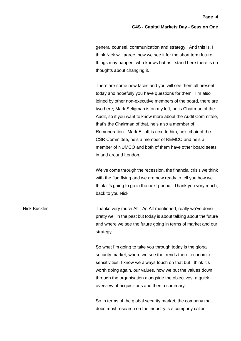general counsel, communication and strategy. And this is, I think Nick will agree, how we see it for the short term future, things may happen, who knows but as I stand here there is no thoughts about changing it.

There are some new faces and you will see them all present today and hopefully you have questions for them. I'm also joined by other non-executive members of the board, there are two here; Mark Seligman is on my left, he is Chairman of the Audit, so if you want to know more about the Audit Committee, that's the Chairman of that, he's also a member of Remuneration. Mark Elliott is next to him, he's chair of the CSR Committee, he's a member of REMCO and he's a member of NUMCO and both of them have other board seats in and around London.

We've come through the recession, the financial crisis we think with the flag flying and we are now ready to tell you how we think it's going to go in the next period. Thank you very much, back to you Nick

Nick Buckles: Thanks very much Alf. As Alf mentioned, really we've done pretty well in the past but today is about talking about the future and where we see the future going in terms of market and our strategy.

> So what I'm going to take you through today is the global security market, where we see the trends there, economic sensitivities; I know we always touch on that but I think it's worth doing again, our values, how we put the values down through the organisation alongside the objectives, a quick overview of acquisitions and then a summary.

> So in terms of the global security market, the company that does most research on the industry is a company called …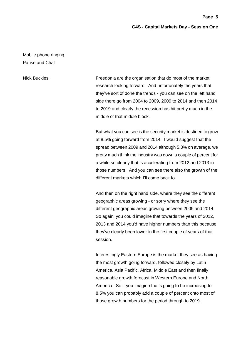**Page 5**

Mobile phone ringing Pause and Chat

Nick Buckles: Freedonia are the organisation that do most of the market research looking forward. And unfortunately the years that they've sort of done the trends - you can see on the left hand side there go from 2004 to 2009, 2009 to 2014 and then 2014 to 2019 and clearly the recession has hit pretty much in the middle of that middle block.

> But what you can see is the security market is destined to grow at 8.5% going forward from 2014. I would suggest that the spread between 2009 and 2014 although 5.3% on average, we pretty much think the industry was down a couple of percent for a while so clearly that is accelerating from 2012 and 2013 in those numbers. And you can see there also the growth of the different markets which I'll come back to.

And then on the right hand side, where they see the different geographic areas growing - or sorry where they see the different geographic areas growing between 2009 and 2014. So again, you could imagine that towards the years of 2012, 2013 and 2014 you'd have higher numbers than this because they've clearly been lower in the first couple of years of that session.

Interestingly Eastern Europe is the market they see as having the most growth going forward, followed closely by Latin America, Asia Pacific, Africa, Middle East and then finally reasonable growth forecast in Western Europe and North America. So if you imagine that's going to be increasing to 8.5% you can probably add a couple of percent onto most of those growth numbers for the period through to 2019.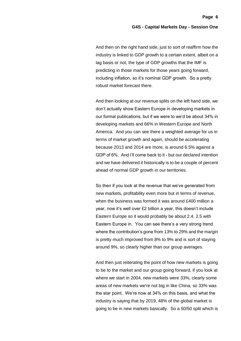And then on the right hand side, just to sort of reaffirm how the industry is linked to GDP growth to a certain extent, albeit on a lag basis or not, the type of GDP growths that the IMF is predicting in those markets for those years going forward, including inflation, so it's nominal GDP growth. So a pretty robust market forecast there.

And then looking at our revenue splits on the left hand side, we don't actually show Eastern Europe in developing markets in our formal publications, but if we were to we'd be about 34% in developing markets and 66% in Western Europe and North America. And you can see there a weighted average for us in terms of market growth and again, should be accelerating because 2013 and 2014 are more, is around 6.5% against a GDP of 6%. And I'll come back to it - but our declared intention and we have delivered it historically is to be a couple of percent ahead of normal GDP growth in our territories.

So then if you look at the revenue that we've generated from new markets, profitability even more but in terms of revenue, when the business was formed it was around £400 million a year, now it's well over £2 billion a year, this doesn't include Eastern Europe so it would probably be about 2.4, 2.5 with Eastern Europe in. You can see there's a very strong trend where the contribution's gone from 13% to 29% and the margin is pretty much improved from 8% to 9% and is sort of staying around 9%, so clearly higher than our group averages.

And then just reiterating the point of how new markets is going to be to the market and our group going forward, if you look at where we start in 2004, new markets were 33%, clearly some areas of new markets we're not big in like China, so 33% was the star point. We're now at 34% on this basis, and what the industry is saying that by 2019, 48% of the global market is going to be in new markets basically. So a 50/50 split which is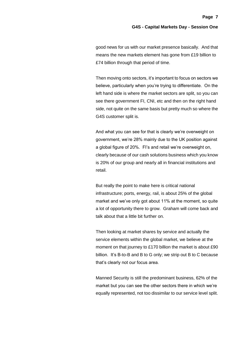good news for us with our market presence basically. And that means the new markets element has gone from £19 billion to £74 billion through that period of time.

Then moving onto sectors, it's important to focus on sectors we believe, particularly when you're trying to differentiate. On the left hand side is where the market sectors are split, so you can see there government FI, CNI, etc and then on the right hand side, not quite on the same basis but pretty much so where the G4S customer split is.

And what you can see for that is clearly we're overweight on government, we're 28% mainly due to the UK position against a global figure of 20%. FI's and retail we're overweight on, clearly because of our cash solutions business which you know is 20% of our group and nearly all in financial institutions and retail.

But really the point to make here is critical national infrastructure; ports, energy, rail, is about 25% of the global market and we've only got about 11% at the moment, so quite a lot of opportunity there to grow. Graham will come back and talk about that a little bit further on.

Then looking at market shares by service and actually the service elements within the global market, we believe at the moment on that journey to £170 billion the market is about £90 billion. It's B-to-B and B to G only; we strip out B to C because that's clearly not our focus area.

Manned Security is still the predominant business, 62% of the market but you can see the other sectors there in which we're equally represented, not too dissimilar to our service level split.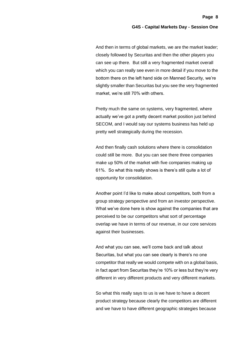**Page 8**

And then in terms of global markets, we are the market leader; closely followed by Securitas and then the other players you can see up there. But still a very fragmented market overall which you can really see even in more detail if you move to the bottom there on the left hand side on Manned Security, we're slightly smaller than Securitas but you see the very fragmented market, we're still 70% with others.

Pretty much the same on systems, very fragmented, where actually we've got a pretty decent market position just behind SECOM, and I would say our systems business has held up pretty well strategically during the recession.

And then finally cash solutions where there is consolidation could still be more. But you can see there three companies make up 50% of the market with five companies making up 61%. So what this really shows is there's still quite a lot of opportunity for consolidation.

Another point I'd like to make about competitors, both from a group strategy perspective and from an investor perspective. What we've done here is show against the companies that are perceived to be our competitors what sort of percentage overlap we have in terms of our revenue, in our core services against their businesses.

And what you can see, we'll come back and talk about Securitas, but what you can see clearly is there's no one competitor that really we would compete with on a global basis, in fact apart from Securitas they're 10% or less but they're very different in very different products and very different markets.

So what this really says to us is we have to have a decent product strategy because clearly the competitors are different and we have to have different geographic strategies because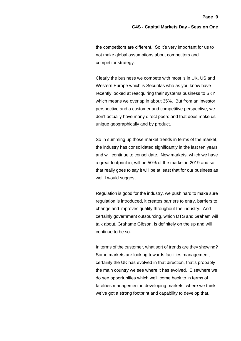the competitors are different. So it's very important for us to not make global assumptions about competitors and competitor strategy.

Clearly the business we compete with most is in UK, US and Western Europe which is Securitas who as you know have recently looked at reacquiring their systems business to SKY which means we overlap in about 35%. But from an investor perspective and a customer and competitive perspective, we don't actually have many direct peers and that does make us unique geographically and by product.

So in summing up those market trends in terms of the market, the industry has consolidated significantly in the last ten years and will continue to consolidate. New markets, which we have a great footprint in, will be 50% of the market in 2019 and so that really goes to say it will be at least that for our business as well I would suggest.

Regulation is good for the industry, we push hard to make sure regulation is introduced, it creates barriers to entry, barriers to change and improves quality throughout the industry. And certainly government outsourcing, which DTS and Graham will talk about, Grahame Gibson, is definitely on the up and will continue to be so.

In terms of the customer, what sort of trends are they showing? Some markets are looking towards facilities management; certainly the UK has evolved in that direction, that's probably the main country we see where it has evolved. Elsewhere we do see opportunities which we'll come back to in terms of facilities management in developing markets, where we think we've got a strong footprint and capability to develop that.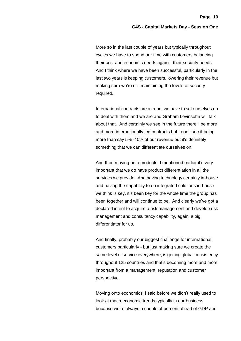More so in the last couple of years but typically throughout cycles we have to spend our time with customers balancing their cost and economic needs against their security needs. And I think where we have been successful, particularly in the last two years is keeping customers, lowering their revenue but making sure we're still maintaining the levels of security required.

International contracts are a trend, we have to set ourselves up to deal with them and we are and Graham Levinsohn will talk about that. And certainly we see in the future there'll be more and more internationally led contracts but I don't see it being more than say 5% -10% of our revenue but it's definitely something that we can differentiate ourselves on.

And then moving onto products, I mentioned earlier it's very important that we do have product differentiation in all the services we provide. And having technology certainly in-house and having the capability to do integrated solutions in-house we think is key, it's been key for the whole time the group has been together and will continue to be. And clearly we've got a declared intent to acquire a risk management and develop risk management and consultancy capability, again, a big differentiator for us.

And finally, probably our biggest challenge for international customers particularly - but just making sure we create the same level of service everywhere, is getting global consistency throughout 125 countries and that's becoming more and more important from a management, reputation and customer perspective.

Moving onto economics, I said before we didn't really used to look at macroeconomic trends typically in our business because we're always a couple of percent ahead of GDP and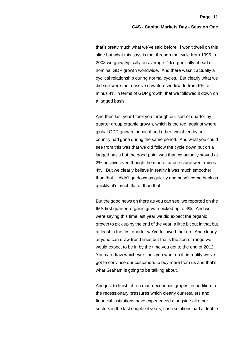that's pretty much what we've said before. I won't dwell on this slide but what this says is that through the cycle from 1996 to 2008 we grew typically on average 2% organically ahead of nominal GDP growth worldwide. And there wasn't actually a cyclical relationship during normal cycles. But clearly what we did see were the massive downturn worldwide from 6% to minus 4% in terms of GDP growth, that we followed it down on a lagged basis.

And then last year I took you through our sort of quarter by quarter group organic growth, which is the red, against where global GDP growth, nominal and other, weighted by our country had gone during the same period. And what you could see from this was that we did follow the cycle down but on a lagged basis but the good point was that we actually stayed at 2% positive even though the market at one stage went minus 4%. But we clearly believe in reality it was much smoother than that, it didn't go down as quickly and hasn't come back as quickly, it's much flatter than that.

But the good news on there as you can see, we reported on the IMS first quarter, organic growth picked up to 4%. And we were saying this time last year we did expect the organic growth to pick up by the end of the year, a little bit out in that but at least in the first quarter we've followed that up. And clearly anyone can draw trend lines but that's the sort of range we would expect to be in by the time you get to the end of 2012. You can draw whichever lines you want on it, in reality we've got to convince our customers to buy more from us and that's what Graham is going to be talking about.

And just to finish off on macroeconomic graphs, in addition to the recessionary pressures which clearly our retailers and financial institutions have experienced alongside all other sectors in the last couple of years, cash solutions had a double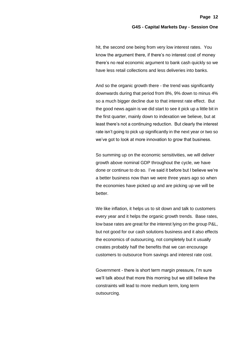hit, the second one being from very low interest rates. You know the argument there, if there's no interest cost of money there's no real economic argument to bank cash quickly so we have less retail collections and less deliveries into banks.

And so the organic growth there - the trend was significantly downwards during that period from 8%, 9% down to minus 4% so a much bigger decline due to that interest rate effect. But the good news again is we did start to see it pick up a little bit in the first quarter, mainly down to indexation we believe, but at least there's not a continuing reduction. But clearly the interest rate isn't going to pick up significantly in the next year or two so we've got to look at more innovation to grow that business.

So summing up on the economic sensitivities, we will deliver growth above nominal GDP throughout the cycle, we have done or continue to do so. I've said it before but I believe we're a better business now than we were three years ago so when the economies have picked up and are picking up we will be better.

We like inflation, it helps us to sit down and talk to customers every year and it helps the organic growth trends. Base rates, low base rates are great for the interest lying on the group P&L, but not good for our cash solutions business and it also effects the economics of outsourcing, not completely but it usually creates probably half the benefits that we can encourage customers to outsource from savings and interest rate cost.

Government - there is short term margin pressure, I'm sure we'll talk about that more this morning but we still believe the constraints will lead to more medium term, long term outsourcing.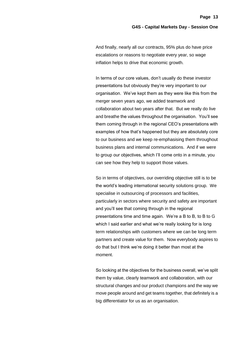And finally, nearly all our contracts, 95% plus do have price escalations or reasons to negotiate every year, so wage inflation helps to drive that economic growth.

In terms of our core values, don't usually do these investor presentations but obviously they're very important to our organisation. We've kept them as they were like this from the merger seven years ago, we added teamwork and collaboration about two years after that. But we really do live and breathe the values throughout the organisation. You'll see them coming through in the regional CEO's presentations with examples of how that's happened but they are absolutely core to our business and we keep re-emphasising them throughout business plans and internal communications. And if we were to group our objectives, which I'll come onto in a minute, you can see how they help to support those values.

So in terms of objectives, our overriding objective still is to be the world's leading international security solutions group. We specialise in outsourcing of processors and facilities, particularly in sectors where security and safety are important and you'll see that coming through in the regional presentations time and time again. We're a B to B, to B to G which I said earlier and what we're really looking for is long term relationships with customers where we can be long term partners and create value for them. Now everybody aspires to do that but I think we're doing it better than most at the moment.

So looking at the objectives for the business overall, we've split them by value, clearly teamwork and collaboration, with our structural changes and our product champions and the way we move people around and get teams together, that definitely is a big differentiator for us as an organisation.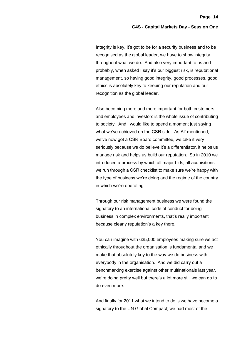Integrity is key, it's got to be for a security business and to be recognised as the global leader, we have to show integrity throughout what we do. And also very important to us and probably, when asked I say it's our biggest risk, is reputational management, so having good integrity, good processes, good ethics is absolutely key to keeping our reputation and our recognition as the global leader.

Also becoming more and more important for both customers and employees and investors is the whole issue of contributing to society. And I would like to spend a moment just saying what we've achieved on the CSR side. As Alf mentioned, we've now got a CSR Board committee, we take it very seriously because we do believe it's a differentiator, it helps us manage risk and helps us build our reputation. So in 2010 we introduced a process by which all major bids, all acquisitions we run through a CSR checklist to make sure we're happy with the type of business we're doing and the regime of the country in which we're operating.

Through our risk management business we were found the signatory to an international code of conduct for doing business in complex environments, that's really important because clearly reputation's a key there.

You can imagine with 635,000 employees making sure we act ethically throughout the organisation is fundamental and we make that absolutely key to the way we do business with everybody in the organisation. And we did carry out a benchmarking exercise against other multinationals last year, we're doing pretty well but there's a lot more still we can do to do even more.

And finally for 2011 what we intend to do is we have become a signatory to the UN Global Compact; we had most of the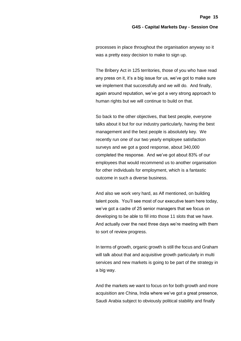processes in place throughout the organisation anyway so it was a pretty easy decision to make to sign up.

The Bribery Act in 125 territories, those of you who have read any press on it, it's a big issue for us, we've got to make sure we implement that successfully and we will do. And finally, again around reputation, we've got a very strong approach to human rights but we will continue to build on that.

So back to the other objectives, that best people, everyone talks about it but for our industry particularly, having the best management and the best people is absolutely key. We recently run one of our two yearly employee satisfaction surveys and we got a good response, about 340,000 completed the response. And we've got about 83% of our employees that would recommend us to another organisation for other individuals for employment, which is a fantastic outcome in such a diverse business.

And also we work very hard, as Alf mentioned, on building talent pools. You'll see most of our executive team here today, we've got a cadre of 25 senior managers that we focus on developing to be able to fill into those 11 slots that we have. And actually over the next three days we're meeting with them to sort of review progress.

In terms of growth, organic growth is still the focus and Graham will talk about that and acquisitive growth particularly in multi services and new markets is going to be part of the strategy in a big way.

And the markets we want to focus on for both growth and more acquisition are China, India where we've got a great presence, Saudi Arabia subject to obviously political stability and finally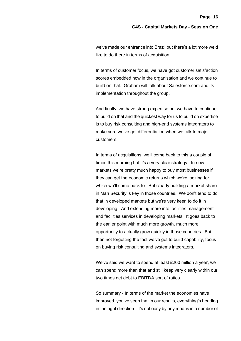we've made our entrance into Brazil but there's a lot more we'd like to do there in terms of acquisition.

In terms of customer focus, we have got customer satisfaction scores embedded now in the organisation and we continue to build on that. Graham will talk about Salesforce.com and its implementation throughout the group.

And finally, we have strong expertise but we have to continue to build on that and the quickest way for us to build on expertise is to buy risk consulting and high-end systems integrators to make sure we've got differentiation when we talk to major customers.

In terms of acquisitions, we'll come back to this a couple of times this morning but it's a very clear strategy. In new markets we're pretty much happy to buy most businesses if they can get the economic returns which we're looking for, which we'll come back to. But clearly building a market share in Man Security is key in those countries. We don't tend to do that in developed markets but we're very keen to do it in developing. And extending more into facilities management and facilities services in developing markets. It goes back to the earlier point with much more growth, much more opportunity to actually grow quickly in those countries. But then not forgetting the fact we've got to build capability, focus on buying risk consulting and systems integrators.

We've said we want to spend at least £200 million a year, we can spend more than that and still keep very clearly within our two times net debt to EBITDA sort of ratios.

So summary - In terms of the market the economies have improved, you've seen that in our results, everything's heading in the right direction. It's not easy by any means in a number of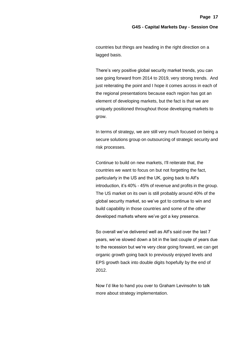countries but things are heading in the right direction on a lagged basis.

There's very positive global security market trends, you can see going forward from 2014 to 2019, very strong trends. And just reiterating the point and I hope it comes across in each of the regional presentations because each region has got an element of developing markets, but the fact is that we are uniquely positioned throughout those developing markets to grow.

In terms of strategy, we are still very much focused on being a secure solutions group on outsourcing of strategic security and risk processes.

Continue to build on new markets, I'll reiterate that, the countries we want to focus on but not forgetting the fact, particularly in the US and the UK, going back to Alf's introduction, it's 40% - 45% of revenue and profits in the group. The US market on its own is still probably around 40% of the global security market, so we've got to continue to win and build capability in those countries and some of the other developed markets where we've got a key presence.

So overall we've delivered well as Alf's said over the last 7 years, we've slowed down a bit in the last couple of years due to the recession but we're very clear going forward, we can get organic growth going back to previously enjoyed levels and EPS growth back into double digits hopefully by the end of 2012.

Now I'd like to hand you over to Graham Levinsohn to talk more about strategy implementation.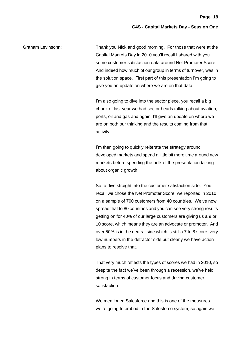Graham Levinsohn: Thank you Nick and good morning. For those that were at the Capital Markets Day in 2010 you'll recall I shared with you some customer satisfaction data around Net Promoter Score. And indeed how much of our group in terms of turnover, was in the solution space. First part of this presentation I'm going to give you an update on where we are on that data.

> I'm also going to dive into the sector piece, you recall a big chunk of last year we had sector heads talking about aviation, ports, oil and gas and again, I'll give an update on where we are on both our thinking and the results coming from that activity.

> I'm then going to quickly reiterate the strategy around developed markets and spend a little bit more time around new markets before spending the bulk of the presentation talking about organic growth.

> So to dive straight into the customer satisfaction side. You recall we chose the Net Promoter Score, we reported in 2010 on a sample of 700 customers from 40 countries. We've now spread that to 80 countries and you can see very strong results getting on for 40% of our large customers are giving us a 9 or 10 score, which means they are an advocate or promoter. And over 50% is in the neutral side which is still a 7 to 8 score, very low numbers in the detractor side but clearly we have action plans to resolve that.

> That very much reflects the types of scores we had in 2010, so despite the fact we've been through a recession, we've held strong in terms of customer focus and driving customer satisfaction.

We mentioned Salesforce and this is one of the measures we're going to embed in the Salesforce system, so again we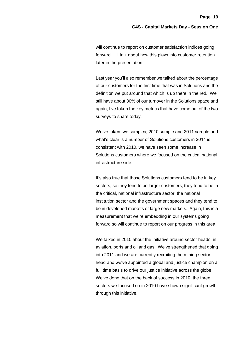will continue to report on customer satisfaction indices going forward. I'll talk about how this plays into customer retention later in the presentation.

Last year you'll also remember we talked about the percentage of our customers for the first time that was in Solutions and the definition we put around that which is up there in the red. We still have about 30% of our turnover in the Solutions space and again, I've taken the key metrics that have come out of the two surveys to share today.

We've taken two samples; 2010 sample and 2011 sample and what's clear is a number of Solutions customers in 2011 is consistent with 2010, we have seen some increase in Solutions customers where we focused on the critical national infrastructure side.

It's also true that those Solutions customers tend to be in key sectors, so they tend to be larger customers, they tend to be in the critical, national infrastructure sector, the national institution sector and the government spaces and they tend to be in developed markets or large new markets. Again, this is a measurement that we're embedding in our systems going forward so will continue to report on our progress in this area.

We talked in 2010 about the initiative around sector heads, in aviation, ports and oil and gas. We've strengthened that going into 2011 and we are currently recruiting the mining sector head and we've appointed a global and justice champion on a full time basis to drive our justice initiative across the globe. We've done that on the back of success in 2010, the three sectors we focused on in 2010 have shown significant growth through this initiative.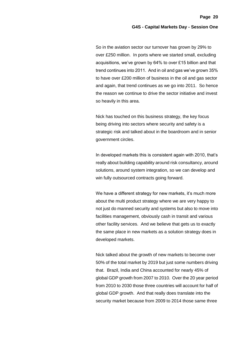So in the aviation sector our turnover has grown by 29% to over £250 million. In ports where we started small, excluding acquisitions, we've grown by 64% to over £15 billion and that trend continues into 2011. And in oil and gas we've grown 35% to have over £200 million of business in the oil and gas sector and again, that trend continues as we go into 2011. So hence the reason we continue to drive the sector initiative and invest so heavily in this area.

Nick has touched on this business strategy, the key focus being driving into sectors where security and safety is a strategic risk and talked about in the boardroom and in senior government circles.

In developed markets this is consistent again with 2010, that's really about building capability around risk consultancy, around solutions, around system integration, so we can develop and win fully outsourced contracts going forward.

We have a different strategy for new markets, it's much more about the multi product strategy where we are very happy to not just do manned security and systems but also to move into facilities management, obviously cash in transit and various other facility services. And we believe that gets us to exactly the same place in new markets as a solution strategy does in developed markets.

Nick talked about the growth of new markets to become over 50% of the total market by 2019 but just some numbers driving that. Brazil, India and China accounted for nearly 45% of global GDP growth from 2007 to 2010. Over the 20 year period from 2010 to 2030 those three countries will account for half of global GDP growth. And that really does translate into the security market because from 2009 to 2014 those same three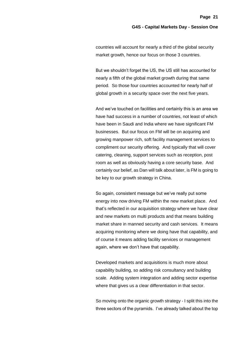countries will account for nearly a third of the global security market growth, hence our focus on those 3 countries.

But we shouldn't forget the US, the US still has accounted for nearly a fifth of the global market growth during that same period. So those four countries accounted for nearly half of global growth in a security space over the next five years.

And we've touched on facilities and certainly this is an area we have had success in a number of countries, not least of which have been in Saudi and India where we have significant FM businesses. But our focus on FM will be on acquiring and growing manpower rich, soft facility management services to compliment our security offering. And typically that will cover catering, cleaning, support services such as reception, post room as well as obviously having a core security base. And certainly our belief, as Dan will talk about later, is FM is going to be key to our growth strategy in China.

So again, consistent message but we've really put some energy into now driving FM within the new market place. And that's reflected in our acquisition strategy where we have clear and new markets on multi products and that means building market share in manned security and cash services. It means acquiring monitoring where we doing have that capability, and of course it means adding facility services or management again, where we don't have that capability.

Developed markets and acquisitions is much more about capability building, so adding risk consultancy and building scale. Adding system integration and adding sector expertise where that gives us a clear differentiation in that sector.

So moving onto the organic growth strategy - I split this into the three sectors of the pyramids. I've already talked about the top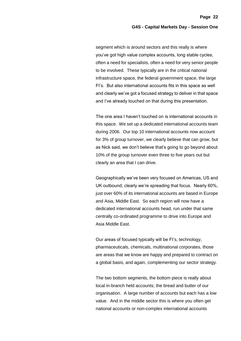segment which is around sectors and this really is where you've got high value complex accounts, long stable cycles, often a need for specialists, often a need for very senior people to be involved. These typically are in the critical national infrastructure space, the federal government space, the large FI's. But also international accounts fits in this space as well and clearly we've got a focused strategy to deliver in that space and I've already touched on that during this presentation.

The one area I haven't touched on is international accounts in this space. We set up a dedicated international accounts team during 2006. Our top 10 international accounts now account for 3% of group turnover, we clearly believe that can grow, but as Nick said, we don't believe that's going to go beyond about 10% of the group turnover even three to five years out but clearly an area that I can drive.

Geographically we've been very focused on Americas, US and UK outbound; clearly we're spreading that focus. Nearly 60%, just over 60% of its international accounts are based in Europe and Asia, Middle East. So each region will now have a dedicated international accounts head, run under that same centrally co-ordinated programme to drive into Europe and Asia Middle East.

Our areas of focused typically will be FI's, technology, pharmaceuticals, chemicals, multinational corporates, those are areas that we know are happy and prepared to contract on a global basis, and again, complementing our sector strategy.

The two bottom segments, the bottom piece is really about local in-branch held accounts; the bread and butter of our organisation. A large number of accounts but each has a low value. And in the middle sector this is where you often get national accounts or non-complex international accounts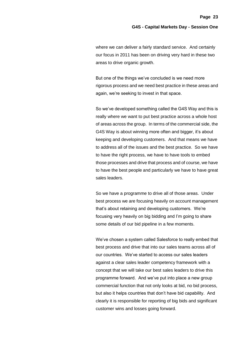where we can deliver a fairly standard service. And certainly our focus in 2011 has been on driving very hard in these two areas to drive organic growth.

But one of the things we've concluded is we need more rigorous process and we need best practice in these areas and again, we're seeking to invest in that space.

So we've developed something called the G4S Way and this is really where we want to put best practice across a whole host of areas across the group. In terms of the commercial side, the G4S Way is about winning more often and bigger, it's about keeping and developing customers. And that means we have to address all of the issues and the best practice. So we have to have the right process, we have to have tools to embed those processes and drive that process and of course, we have to have the best people and particularly we have to have great sales leaders.

So we have a programme to drive all of those areas. Under best process we are focusing heavily on account management that's about retaining and developing customers. We're focusing very heavily on big bidding and I'm going to share some details of our bid pipeline in a few moments.

We've chosen a system called Salesforce to really embed that best process and drive that into our sales teams across all of our countries. We've started to access our sales leaders against a clear sales leader competency framework with a concept that we will take our best sales leaders to drive this programme forward. And we've put into place a new group commercial function that not only looks at bid, no bid process, but also it helps countries that don't have bid capability. And clearly it is responsible for reporting of big bids and significant customer wins and losses going forward.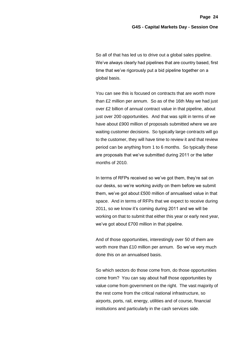So all of that has led us to drive out a global sales pipeline. We've always clearly had pipelines that are country based, first time that we've rigorously put a bid pipeline together on a global basis.

You can see this is focused on contracts that are worth more than £2 million per annum. So as of the 16th May we had just over £2 billion of annual contract value in that pipeline, about just over 200 opportunities. And that was split in terms of we have about £900 million of proposals submitted where we are waiting customer decisions. So typically large contracts will go to the customer, they will have time to review it and that review period can be anything from 1 to 6 months. So typically these are proposals that we've submitted during 2011 or the latter months of 2010.

In terms of RFPs received so we've got them, they're sat on our desks, so we're working avidly on them before we submit them, we've got about £500 million of annualised value in that space. And in terms of RFPs that we expect to receive during 2011, so we know it's coming during 2011 and we will be working on that to submit that either this year or early next year, we've got about £700 million in that pipeline.

And of those opportunities, interestingly over 50 of them are worth more than £10 million per annum. So we've very much done this on an annualised basis.

So which sectors do those come from, do those opportunities come from? You can say about half those opportunities by value come from government on the right. The vast majority of the rest come from the critical national infrastructure, so airports, ports, rail, energy, utilities and of course, financial institutions and particularly in the cash services side.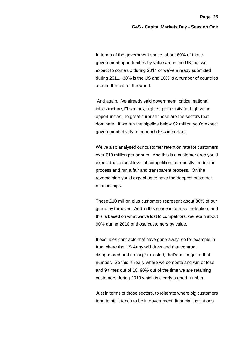In terms of the government space, about 60% of those government opportunities by value are in the UK that we expect to come up during 2011 or we've already submitted during 2011. 30% is the US and 10% is a number of countries around the rest of the world.

And again, I've already said government, critical national infrastructure, FI sectors, highest propensity for high value opportunities, no great surprise those are the sectors that dominate. If we ran the pipeline below £2 million you'd expect government clearly to be much less important.

We've also analysed our customer retention rate for customers over £10 million per annum. And this is a customer area you'd expect the fiercest level of competition, to robustly tender the process and run a fair and transparent process. On the reverse side you'd expect us to have the deepest customer relationships.

These £10 million plus customers represent about 30% of our group by turnover. And in this space in terms of retention, and this is based on what we've lost to competitors, we retain about 90% during 2010 of those customers by value.

It excludes contracts that have gone away, so for example in Iraq where the US Army withdrew and that contract disappeared and no longer existed, that's no longer in that number. So this is really where we compete and win or lose and 9 times out of 10, 90% out of the time we are retaining customers during 2010 which is clearly a good number.

Just in terms of those sectors, to reiterate where big customers tend to sit, it tends to be in government, financial institutions,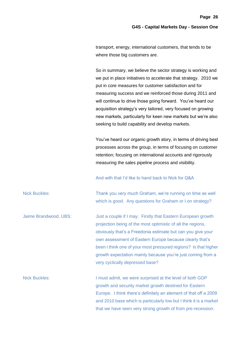transport, energy, international customers, that tends to be where those big customers are.

So in summary, we believe the sector strategy is working and we put in place initiatives to accelerate that strategy. 2010 we put in core measures for customer satisfaction and for measuring success and we reinforced those during 2011 and will continue to drive those going forward. You've heard our acquisition strategy's very tailored, very focused on growing new markets, particularly for keen new markets but we're also seeking to build capability and develop markets.

You've heard our organic growth story, in terms of driving best processes across the group, in terms of focusing on customer retention; focusing on international accounts and rigorously measuring the sales pipeline process and visibility.

And with that I'd like to hand back to Nick for Q&A

Nick Buckles: Thank you very much Graham, we're running on time as well which is good. Any questions for Graham or I on strategy?

Jaime Brandwood, UBS: Just a couple if I may. Firstly that Eastern European growth projection being of the most optimistic of all the regions, obviously that's a Freedonia estimate but can you give your own assessment of Eastern Europe because clearly that's been I think one of your most pressured regions? Is that higher growth expectation mainly because you're just coming from a very cyclically depressed base?

Nick Buckles: I must admit, we were surprised at the level of both GDP growth and security market growth destined for Eastern Europe. I think there's definitely an element of that off a 2009 and 2010 base which is particularly low but I think it is a market that we have seen very strong growth of from pre-recession.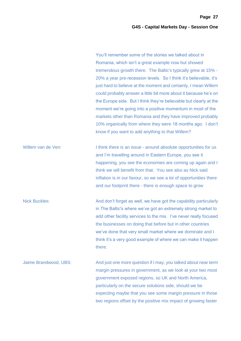You'll remember some of the stories we talked about in Romania, which isn't a great example now but showed tremendous growth there. The Baltic's typically grew at 15% - 20% a year pre-recession levels. So I think it's believable, it's just hard to believe at the moment and certainly, I mean Willem could probably answer a little bit more about it because he's on the Europe side. But I think they're believable but clearly at the moment we're going into a positive momentum in most of the markets other than Romania and they have improved probably 10% organically from where they were 18 months ago. I don't know if you want to add anything to that Willem?

Willem van de Ven: I think there is an issue - around absolute opportunities for us and I'm travelling around in Eastern Europe, you see it happening, you see the economies are coming up again and I think we will benefit from that. You see also as Nick said inflation is in our favour, so we see a lot of opportunities there and our footprint there - there is enough space to grow

Nick Buckles: And don't forget as well, we have got the capability particularly in The Baltic's where we've got an extremely strong market to add other facility services to the mix. I've never really focused the businesses on doing that before but in other countries we've done that very small market where we dominate and I think it's a very good example of where we can make it happen there.

Jaime Brandwood, UBS: And just one more question if I may, you talked about near term margin pressures in government, as we look at your two most government exposed regions, so UK and North America, particularly on the secure solutions side, should we be expecting maybe that you see some margin pressure in those two regions offset by the positive mix impact of growing faster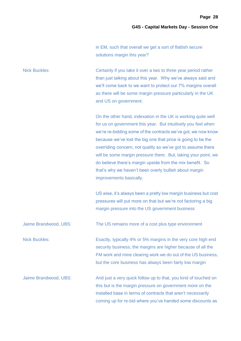in EM, such that overall we get a sort of flattish secure solutions margin this year?

Nick Buckles: Certainly if you take it over a two to three year period rather than just talking about this year. Why we've always said and we'll come back to we want to protect our 7% margins overall as there will be some margin pressure particularly in the UK and US on government.

> On the other hand, indexation in the UK is working quite well for us on government this year. But intuitively you feel when we're re-bidding some of the contracts we've got, we now know because we've lost the big one that price is going to be the overriding concern, not quality so we've got to assume there will be some margin pressure there. But, taking your point, we do believe there's margin upside from the mix benefit. So that's why we haven't been overly bullish about margin improvements basically.

> US wise, it's always been a pretty low margin business but cost pressures will put more on that but we're not factoring a big margin pressure into the US government business

Jaime Brandwood, UBS: The US remains more of a cost plus type environment

Nick Buckles: Exactly, typically 4% or 5% margins in the very core high end security business, the margins are higher because of all the FM work and mine clearing work we do out of the US business, but the core business has always been fairly low margin

Jaime Brandwood, UBS: And just a very quick follow up to that, you kind of touched on this but is the margin pressure on government more on the installed base in terms of contracts that aren't necessarily coming up for re-bid where you've handed some discounts as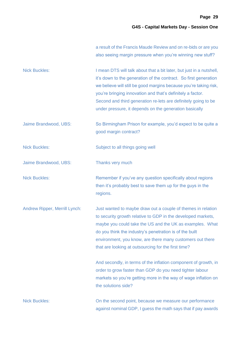|                               | a result of the Francis Maude Review and on re-bids or are you<br>also seeing margin pressure when you're winning new stuff?                                                                                                                                                                                                                                                                            |
|-------------------------------|---------------------------------------------------------------------------------------------------------------------------------------------------------------------------------------------------------------------------------------------------------------------------------------------------------------------------------------------------------------------------------------------------------|
| <b>Nick Buckles:</b>          | I mean DTS will talk about that a bit later, but just in a nutshell,<br>it's down to the generation of the contract. So first generation<br>we believe will still be good margins because you're taking risk,<br>you're bringing innovation and that's definitely a factor.<br>Second and third generation re-lets are definitely going to be<br>under pressure, it depends on the generation basically |
| Jaime Brandwood, UBS:         | So Birmingham Prison for example, you'd expect to be quite a<br>good margin contract?                                                                                                                                                                                                                                                                                                                   |
| <b>Nick Buckles:</b>          | Subject to all things going well                                                                                                                                                                                                                                                                                                                                                                        |
| Jaime Brandwood, UBS:         | Thanks very much                                                                                                                                                                                                                                                                                                                                                                                        |
| <b>Nick Buckles:</b>          | Remember if you've any question specifically about regions<br>then it's probably best to save them up for the guys in the<br>regions.                                                                                                                                                                                                                                                                   |
| Andrew Ripper, Merrill Lynch: | Just wanted to maybe draw out a couple of themes in relation<br>to security growth relative to GDP in the developed markets,<br>maybe you could take the US and the UK as examples. What<br>do you think the industry's penetration is of the built<br>environment, you know, are there many customers out there<br>that are looking at outsourcing for the first time?                                 |
|                               | And secondly, in terms of the inflation component of growth, in<br>order to grow faster than GDP do you need tighter labour<br>markets so you're getting more in the way of wage inflation on<br>the solutions side?                                                                                                                                                                                    |
| <b>Nick Buckles:</b>          | On the second point, because we measure our performance<br>against nominal GDP, I guess the math says that if pay awards                                                                                                                                                                                                                                                                                |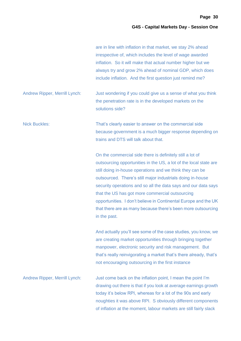|                                      | are in line with inflation in that market, we stay 2% ahead<br>irrespective of, which includes the level of wage awarded<br>inflation. So it will make that actual number higher but we<br>always try and grow 2% ahead of nominal GDP, which does<br>include inflation. And the first question just remind me?                                                                                                                                                                                                                  |
|--------------------------------------|----------------------------------------------------------------------------------------------------------------------------------------------------------------------------------------------------------------------------------------------------------------------------------------------------------------------------------------------------------------------------------------------------------------------------------------------------------------------------------------------------------------------------------|
| <b>Andrew Ripper, Merrill Lynch:</b> | Just wondering if you could give us a sense of what you think<br>the penetration rate is in the developed markets on the<br>solutions side?                                                                                                                                                                                                                                                                                                                                                                                      |
| <b>Nick Buckles:</b>                 | That's clearly easier to answer on the commercial side<br>because government is a much bigger response depending on<br>trains and DTS will talk about that.                                                                                                                                                                                                                                                                                                                                                                      |
|                                      | On the commercial side there is definitely still a lot of<br>outsourcing opportunities in the US, a lot of the local state are<br>still doing in-house operations and we think they can be<br>outsourced. There's still major industrials doing in-house<br>security operations and so all the data says and our data says<br>that the US has got more commercial outsourcing<br>opportunities. I don't believe in Continental Europe and the UK<br>that there are as many because there's been more outsourcing<br>in the past. |
|                                      | And actually you'll see some of the case studies, you know, we<br>are creating market opportunities through bringing together<br>manpower, electronic security and risk management. But<br>that's really reinvigorating a market that's there already, that's<br>not encouraging outsourcing in the first instance                                                                                                                                                                                                               |
| <b>Andrew Ripper, Merrill Lynch:</b> | Just come back on the inflation point, I mean the point I'm<br>drawing out there is that if you look at average earnings growth<br>today it's below RPI, whereas for a lot of the 90s and early<br>noughties it was above RPI. S obviously different components<br>of inflation at the moment, labour markets are still fairly slack                                                                                                                                                                                             |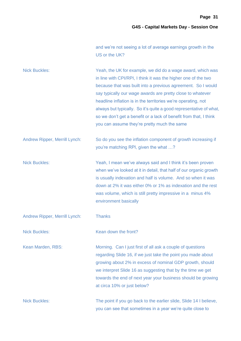and we're not seeing a lot of average earnings growth in the US or the UK?

| <b>Nick Buckles:</b>          | Yeah, the UK for example, we did do a wage award, which was<br>in line with CPI/RPI, I think it was the higher one of the two<br>because that was built into a previous agreement. So I would<br>say typically our wage awards are pretty close to whatever<br>headline inflation is in the territories we're operating, not<br>always but typically. So it's quite a good representative of what,<br>so we don't get a benefit or a lack of benefit from that, I think<br>you can assume they're pretty much the same |
|-------------------------------|------------------------------------------------------------------------------------------------------------------------------------------------------------------------------------------------------------------------------------------------------------------------------------------------------------------------------------------------------------------------------------------------------------------------------------------------------------------------------------------------------------------------|
| Andrew Ripper, Merrill Lynch: | So do you see the inflation component of growth increasing if<br>you're matching RPI, given the what ?                                                                                                                                                                                                                                                                                                                                                                                                                 |
| <b>Nick Buckles:</b>          | Yeah, I mean we've always said and I think it's been proven<br>when we've looked at it in detail, that half of our organic growth<br>is usually indexation and half is volume. And so when it was<br>down at 2% it was either 0% or 1% as indexation and the rest<br>was volume, which is still pretty impressive in a minus 4%<br>environment basically                                                                                                                                                               |
| Andrew Ripper, Merrill Lynch: | <b>Thanks</b>                                                                                                                                                                                                                                                                                                                                                                                                                                                                                                          |
| <b>Nick Buckles:</b>          | Kean down the front?                                                                                                                                                                                                                                                                                                                                                                                                                                                                                                   |
| Kean Marden, RBS:             | Morning. Can I just first of all ask a couple of questions<br>regarding Slide 16, if we just take the point you made about<br>growing about 2% in excess of nominal GDP growth, should<br>we interpret Slide 16 as suggesting that by the time we get<br>towards the end of next year your business should be growing<br>at circa 10% or just below?                                                                                                                                                                   |
| <b>Nick Buckles:</b>          | The point if you go back to the earlier slide, Slide 14 I believe,<br>you can see that sometimes in a year we're quite close to                                                                                                                                                                                                                                                                                                                                                                                        |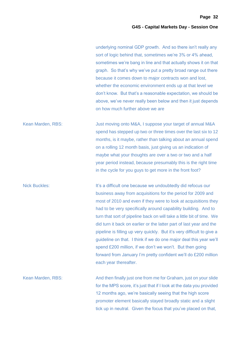**Page 32**

# **G4S - Capital Markets Day - Session One**

underlying nominal GDP growth. And so there isn't really any sort of logic behind that, sometimes we're 3% or 4% ahead, sometimes we're bang in line and that actually shows it on that graph. So that's why we've put a pretty broad range out there because it comes down to major contracts won and lost, whether the economic environment ends up at that level we don't know. But that's a reasonable expectation, we should be above, we've never really been below and then it just depends on how much further above we are

Kean Marden, RBS: Just moving onto M&A, I suppose your target of annual M&A spend has stepped up two or three times over the last six to 12 months, is it maybe, rather than talking about an annual spend on a rolling 12 month basis, just giving us an indication of maybe what your thoughts are over a two or two and a half year period instead, because presumably this is the right time in the cycle for you guys to get more in the front foot?

Nick Buckles: It's a difficult one because we undoubtedly did refocus our business away from acquisitions for the period for 2009 and most of 2010 and even if they were to look at acquisitions they had to be very specifically around capability building. And to turn that sort of pipeline back on will take a little bit of time. We did turn it back on earlier or the latter part of last year and the pipeline is filling up very quickly. But it's very difficult to give a guideline on that. I think if we do one major deal this year we'll spend £200 million, if we don't we won't. But then going forward from January I'm pretty confident we'll do £200 million each year thereafter.

Kean Marden, RBS: And then finally just one from me for Graham, just on your slide for the MPS score, it's just that if I look at the data you provided 12 months ago, we're basically seeing that the high score promoter element basically stayed broadly static and a slight tick up in neutral. Given the focus that you've placed on that,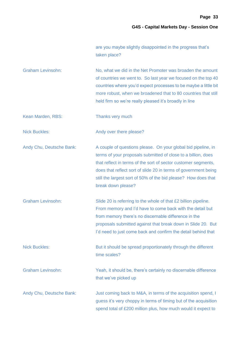are you maybe slightly disappointed in the progress that's taken place?

Graham Levinsohn: No, what we did in the Net Promoter was broaden the amount of countries we went to. So last year we focused on the top 40 countries where you'd expect processes to be maybe a little bit more robust, when we broadened that to 80 countries that still held firm so we're really pleased it's broadly in line

Kean Marden, RBS: Thanks very much

Nick Buckles: Andy over there please?

Andy Chu, Deutsche Bank: A couple of questions please. On your global bid pipeline, in terms of your proposals submitted of close to a billion, does that reflect in terms of the sort of sector customer segments, does that reflect sort of slide 20 in terms of government being still the largest sort of 50% of the bid please? How does that break down please?

Graham Levinsohn: Slide 20 is referring to the whole of that £2 billion pipeline. From memory and I'd have to come back with the detail but from memory there's no discernable difference in the proposals submitted against that break down in Slide 20. But I'd need to just come back and confirm the detail behind that

Nick Buckles: But it should be spread proportionately through the different time scales?

Graham Levinsohn: Yeah, it should be, there's certainly no discernable difference that we've picked up

Andy Chu, Deutsche Bank: Just coming back to M&A, in terms of the acquisition spend, I guess it's very choppy in terms of timing but of the acquisition spend total of £200 million plus, how much would it expect to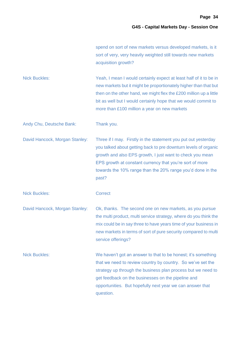| spend on sort of new markets versus developed markets, is it  |
|---------------------------------------------------------------|
| sort of very, very heavily weighted still towards new markets |
| acquisition growth?                                           |

Nick Buckles: Yeah, I mean I would certainly expect at least half of it to be in new markets but it might be proportionately higher than that but then on the other hand, we might flex the £200 million up a little bit as well but I would certainly hope that we would commit to more than £100 million a year on new markets

Andy Chu, Deutsche Bank: Thank you.

David Hancock, Morgan Stanley: Three if I may. Firstly in the statement you put out yesterday you talked about getting back to pre downturn levels of organic growth and also EPS growth, I just want to check you mean EPS growth at constant currency that you're sort of more towards the 10% range than the 20% range you'd done in the past?

Nick Buckles: Correct

David Hancock, Morgan Stanley: Ok, thanks. The second one on new markets, as you pursue the multi product, multi service strategy, where do you think the mix could be in say three to have years time of your business in new markets in terms of sort of pure security compared to multi service offerings?

Nick Buckles: We haven't got an answer to that to be honest; it's something that we need to review country by country. So we've set the strategy up through the business plan process but we need to get feedback on the businesses on the pipeline and opportunities. But hopefully next year we can answer that question.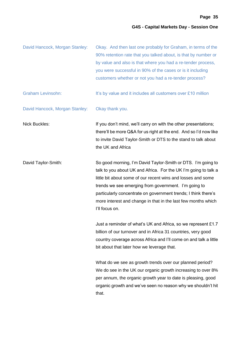| David Hancock, Morgan Stanley: | Okay. And then last one probably for Graham, in terms of the<br>90% retention rate that you talked about, is that by number or<br>by value and also is that where you had a re-tender process,<br>you were successful in 90% of the cases or is it including<br>customers whether or not you had a re-tender process?                                                                                        |
|--------------------------------|--------------------------------------------------------------------------------------------------------------------------------------------------------------------------------------------------------------------------------------------------------------------------------------------------------------------------------------------------------------------------------------------------------------|
| <b>Graham Levinsohn:</b>       | It's by value and it includes all customers over £10 million                                                                                                                                                                                                                                                                                                                                                 |
| David Hancock, Morgan Stanley: | Okay thank you.                                                                                                                                                                                                                                                                                                                                                                                              |
| <b>Nick Buckles:</b>           | If you don't mind, we'll carry on with the other presentations;<br>there'll be more Q&A for us right at the end. And so I'd now like<br>to invite David Taylor-Smith or DTS to the stand to talk about<br>the UK and Africa                                                                                                                                                                                  |
| David Taylor-Smith:            | So good morning, I'm David Taylor-Smith or DTS. I'm going to<br>talk to you about UK and Africa. For the UK I'm going to talk a<br>little bit about some of our recent wins and losses and some<br>trends we see emerging from government. I'm going to<br>particularly concentrate on government trends; I think there's<br>more interest and change in that in the last few months which<br>I'll focus on. |
|                                | Just a reminder of what's UK and Africa, so we represent £1.7<br>billion of our turnover and in Africa 31 countries, very good<br>country coverage across Africa and I'll come on and talk a little<br>bit about that later how we leverage that.                                                                                                                                                            |
|                                | What do we see as growth trends over our planned period?<br>We do see in the UK our organic growth increasing to over 8%<br>per annum, the organic growth year to date is pleasing, good<br>organic growth and we've seen no reason why we shouldn't hit<br>that.                                                                                                                                            |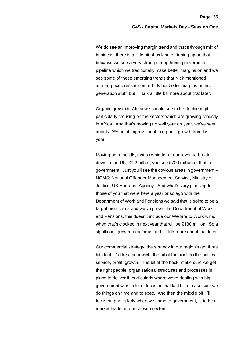We do see an improving margin trend and that's through mix of business, there is a little bit of us kind of firming up on that because we see a very strong strengthening government pipeline which we traditionally make better margins on and we see some of these emerging trends that Nick mentioned around price pressure on re-bids but better margins on first generation stuff, but I'll talk a little bit more about that later.

Organic growth in Africa we should see to be double digit, particularly focusing on the sectors which are growing robustly in Africa. And that's moving up well year on year, we've seen about a 3% point improvement in organic growth from last year.

Moving onto the UK, just a reminder of our revenue break down in the UK, £1.2 billion, you see £700 million of that in government. Just you'll see the obvious areas in government – NOMS; National Offender Management Service, Ministry of Justice, UK Boarders Agency. And what's very pleasing for those of you that were here a year or so ago with the Department of Work and Pensions we said that is going to be a target area for us and we've grown the Department of Work and Pensions, this doesn't include our Welfare to Work wins, when that's clocked in next year that will be £130 million. So a significant growth area for us and I'll talk more about that later.

Our commercial strategy, the strategy in our region's got three bits to it, it's like a sandwich, the bit at the front do the basics, service, profit, growth. The bit at the back, make sure we get the right people, organisational structures and processes in place to deliver it, particularly where we're dealing with big government wins, a lot of focus on that last bit to make sure we do things on time and to spec. And then the middle bit, I'll focus on particularly when we come to government, is to be a market leader in our chosen sectors.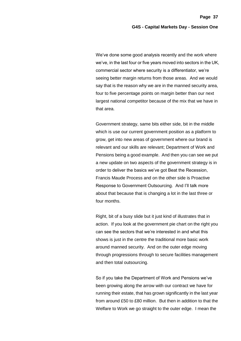We've done some good analysis recently and the work where we've, in the last four or five years moved into sectors in the UK, commercial sector where security is a differentiator, we're seeing better margin returns from those areas. And we would say that is the reason why we are in the manned security area, four to five percentage points on margin better than our next largest national competitor because of the mix that we have in that area.

Government strategy, same bits either side, bit in the middle which is use our current government position as a platform to grow, get into new areas of government where our brand is relevant and our skills are relevant; Department of Work and Pensions being a good example. And then you can see we put a new update on two aspects of the government strategy is in order to deliver the basics we've got Beat the Recession, Francis Maude Process and on the other side is Proactive Response to Government Outsourcing. And I'll talk more about that because that is changing a lot in the last three or four months.

Right, bit of a busy slide but it just kind of illustrates that in action. If you look at the government pie chart on the right you can see the sectors that we're interested in and what this shows is just in the centre the traditional more basic work around manned security. And on the outer edge moving through progressions through to secure facilities management and then total outsourcing.

So if you take the Department of Work and Pensions we've been growing along the arrow with our contract we have for running their estate, that has grown significantly in the last year from around £50 to £80 million. But then in addition to that the Welfare to Work we go straight to the outer edge. I mean the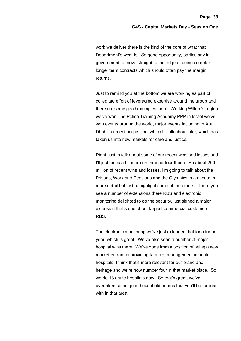work we deliver there is the kind of the core of what that Department's work is. So good opportunity, particularly in government to move straight to the edge of doing complex longer term contracts which should often pay the margin returns.

Just to remind you at the bottom we are working as part of collegiate effort of leveraging expertise around the group and there are some good examples there. Working Willem's region we've won The Police Training Academy PPP in Israel we've won events around the world, major events including in Abu Dhabi, a recent acquisition, which I'll talk about later, which has taken us into new markets for care and justice.

Right, just to talk about some of our recent wins and losses and I'll just focus a bit more on three or four those. So about 200 million of recent wins and losses, I'm going to talk about the Prisons, Work and Pensions and the Olympics in a minute in more detail but just to highlight some of the others. There you see a number of extensions there RBS and electronic monitoring delighted to do the security, just signed a major extension that's one of our largest commercial customers, RBS.

The electronic monitoring we've just extended that for a further year, which is great. We've also seen a number of major hospital wins there. We've gone from a position of being a new market entrant in providing facilities management in acute hospitals, I think that's more relevant for our brand and heritage and we're now number four in that market place. So we do 13 acute hospitals now. So that's great, we've overtaken some good household names that you'll be familiar with in that area.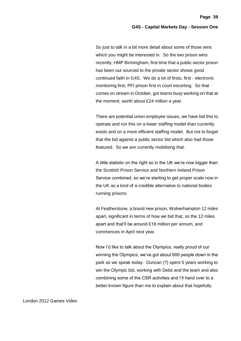So just to talk in a bit more detail about some of those wins which you might be interested in. So the two prison wins recently; HMP Birmingham, first time that a public sector prison has been out sourced to the private sector shows good continued faith in G4S. We do a lot of firsts, first - electronic monitoring first, PFI prison first in court escorting. So that comes on stream in October, got teams busy working on that at the moment, worth about £24 million a year.

There are potential union employee issues, we have bid this to operate and run this on a lower staffing model than currently exists and on a more efficient staffing model. But not to forget that the bid against a public sector bid which also had those featured. So we are currently mobilising that.

A little statistic on the right so in the UK we're now bigger than the Scottish Prison Service and Northern Ireland Prison Service combined, so we're starting to get proper scale now in the UK as a kind of a credible alternative to national bodies running prisons.

At Featherstone, a brand new prison, Wolverhampton 12 miles apart, significant in terms of how we bid that, so the 12 miles apart and that'll be around £18 million per annum, and commences in April next year.

Now I'd like to talk about the Olympics, really proud of our winning the Olympics, we've got about 600 people down in the park as we speak today. Duncan (?) spent 5 years working to win the Olympic bid, working with Debs and the team and also combining some of the CSR activities and I'll hand over to a better known figure than me to explain about that hopefully.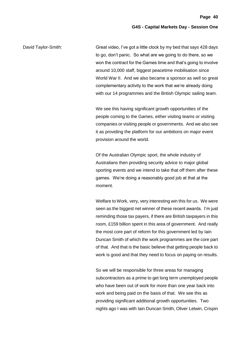David Taylor-Smith: Great video, I've got a little clock by my bed that says 428 days to go, don't panic. So what are we going to do there, so we won the contract for the Games time and that's going to involve around 10,000 staff, biggest peacetime mobilisation since World War II. And we also became a sponsor as well so great complementary activity to the work that we're already doing with our 14 programmes and the British Olympic sailing team.

> We see this having significant growth opportunities of the people coming to the Games, either visiting teams or visiting companies or visiting people or governments. And we also see it as providing the platform for our ambitions on major event provision around the world.

> Of the Australian Olympic sport, the whole industry of Australians then providing security advice to major global sporting events and we intend to take that off them after these games. We're doing a reasonably good job at that at the moment.

> Welfare to Work, very, very interesting win this for us. We were seen as the biggest net winner of these recent awards. I'm just reminding those tax payers, if there are British taxpayers in this room, £159 billion spent in this area of government. And really the most core part of reform for this government led by Iain Duncan Smith of which the work programmes are the core part of that. And that is the basic believe that getting people back to work is good and that they need to focus on paying on results.

> So we will be responsible for three areas for managing subcontractors as a prime to get long term unemployed people who have been out of work for more than one year back into work and being paid on the basis of that. We see this as providing significant additional growth opportunities. Two nights ago I was with Iain Duncan Smith, Oliver Letwin, Crispin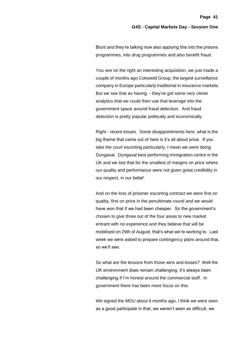Blunt and they're talking now also applying this into the prisons programmes, into drug programmes and also benefit fraud.

You see on the right an interesting acquisition, we just made a couple of months ago Cotswold Group, the largest surveillance company in Europe particularly traditional in insurance markets. But we see that as having - they've got some very clever analytics that we could then use that leverage into the government space around fraud detection. And fraud detection is pretty popular politically and economically.

Right - recent losses. Some disappointments here, what is the big theme that came out of here is it's all about price. If you take the court escorting particularly, I mean we were doing Dungaval. Dungaval best performing immigration centre in the UK and we lost that for the smallest of margins on price where our quality and performance were not given great credibility in our respect, in our belief.

And on the loss of prisoner escorting contract we were first on quality, first on price in the penultimate round and we would have won that if we had been cheaper. So the government's chosen to give three out of the four areas to new market entrant with no experience and they believe that will be mobilised on 29th of August, that's what we're working to. Last week we were asked to prepare contingency plans around that, so we'll see.

So what are the lessons from those wins and losses? Well the UK environment does remain challenging, it's always been challenging if I'm honest around the commercial stuff. In government there has been more focus on this.

We signed the MOU about 6 months ago, I think we were seen as a good participate in that, we weren't seen as difficult, we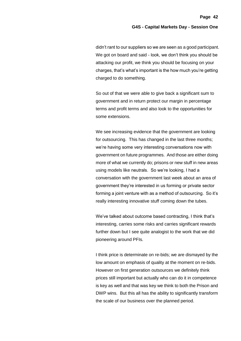didn't rant to our suppliers so we are seen as a good participant. We got on board and said - look, we don't think you should be attacking our profit, we think you should be focusing on your charges, that's what's important is the how much you're getting charged to do something.

So out of that we were able to give back a significant sum to government and in return protect our margin in percentage terms and profit terms and also look to the opportunities for some extensions.

We see increasing evidence that the government are looking for outsourcing. This has changed in the last three months; we're having some very interesting conversations now with government on future programmes. And those are either doing more of what we currently do; prisons or new stuff in new areas using models like neutrals. So we're looking, I had a conversation with the government last week about an area of government they're interested in us forming or private sector forming a joint venture with as a method of outsourcing. So it's really interesting innovative stuff coming down the tubes.

We've talked about outcome based contracting, I think that's interesting, carries some risks and carries significant rewards further down but I see quite analogist to the work that we did pioneering around PFIs.

I think price is determinate on re-bids; we are dismayed by the low amount on emphasis of quality at the moment on re-bids. However on first generation outsources we definitely think prices still important but actually who can do it in competence is key as well and that was key we think to both the Prison and DWP wins. But this all has the ability to significantly transform the scale of our business over the planned period.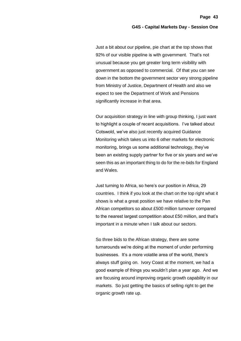**Page 43**

Just a bit about our pipeline, pie chart at the top shows that 92% of our visible pipeline is with government. That's not unusual because you get greater long term visibility with government as opposed to commercial. Of that you can see down in the bottom the government sector very strong pipeline from Ministry of Justice, Department of Health and also we expect to see the Department of Work and Pensions significantly increase in that area.

Our acquisition strategy in line with group thinking, I just want to highlight a couple of recent acquisitions. I've talked about Cotswold, we've also just recently acquired Guidance Monitoring which takes us into 6 other markets for electronic monitoring, brings us some additional technology, they've been an existing supply partner for five or six years and we've seen this as an important thing to do for the re-bids for England and Wales.

Just turning to Africa, so here's our position in Africa, 29 countries. I think if you look at the chart on the top right what it shows is what a great position we have relative to the Pan African competitors so about £500 million turnover compared to the nearest largest competition about £50 million, and that's important in a minute when I talk about our sectors.

So three bids to the African strategy, there are some turnarounds we're doing at the moment of under performing businesses. It's a more volatile area of the world, there's always stuff going on. Ivory Coast at the moment, we had a good example of things you wouldn't plan a year ago. And we are focusing around improving organic growth capability in our markets. So just getting the basics of selling right to get the organic growth rate up.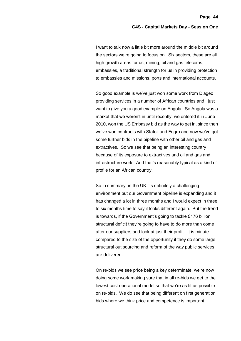I want to talk now a little bit more around the middle bit around the sectors we're going to focus on. Six sectors, these are all high growth areas for us, mining, oil and gas telecoms, embassies, a traditional strength for us in providing protection to embassies and missions, ports and international accounts.

So good example is we've just won some work from Diageo providing services in a number of African countries and I just want to give you a good example on Angola. So Angola was a market that we weren't in until recently, we entered it in June 2010, won the US Embassy bid as the way to get in, since then we've won contracts with Statoil and Fugro and now we've got some further bids in the pipeline with other oil and gas and extractives. So we see that being an interesting country because of its exposure to extractives and oil and gas and infrastructure work. And that's reasonably typical as a kind of profile for an African country.

So in summary, in the UK it's definitely a challenging environment but our Government pipeline is expanding and it has changed a lot in three months and I would expect in three to six months time to say it looks different again. But the trend is towards, if the Government's going to tackle £176 billion structural deficit they're going to have to do more than come after our suppliers and look at just their profit. It is minute compared to the size of the opportunity if they do some large structural out sourcing and reform of the way public services are delivered.

On re-bids we see price being a key determinate, we're now doing some work making sure that in all re-bids we get to the lowest cost operational model so that we're as fit as possible on re-bids. We do see that being different on first generation bids where we think price and competence is important.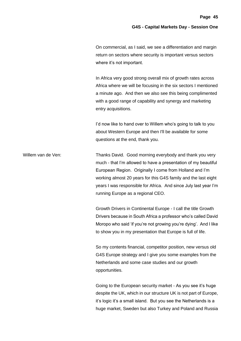On commercial, as I said, we see a differentiation and margin return on sectors where security is important versus sectors where it's not important.

In Africa very good strong overall mix of growth rates across Africa where we will be focusing in the six sectors I mentioned a minute ago. And then we also see this being complimented with a good range of capability and synergy and marketing entry acquisitions.

I'd now like to hand over to Willem who's going to talk to you about Western Europe and then I'll be available for some questions at the end, thank you.

Willem van de Ven: Thanks David. Good morning everybody and thank you very much - that I'm allowed to have a presentation of my beautiful European Region. Originally I come from Holland and I'm working almost 20 years for this G4S family and the last eight years I was responsible for Africa. And since July last year I'm running Europe as a regional CEO.

> Growth Drivers in Continental Europe - I call the title Growth Drivers because in South Africa a professor who's called David Moropo who said 'if you're not growing you're dying'. And I like to show you in my presentation that Europe is full of life.

So my contents financial, competitor position, new versus old G4S Europe strategy and I give you some examples from the Netherlands and some case studies and our growth opportunities.

Going to the European security market - As you see it's huge despite the UK, which in our structure UK is not part of Europe, it's logic it's a small island. But you see the Netherlands is a huge market, Sweden but also Turkey and Poland and Russia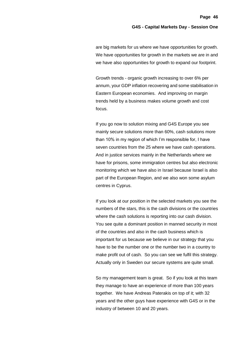are big markets for us where we have opportunities for growth. We have opportunities for growth in the markets we are in and we have also opportunities for growth to expand our footprint.

Growth trends - organic growth increasing to over 6% per annum, your GDP inflation recovering and some stabilisation in Eastern European economies. And improving on margin trends held by a business makes volume growth and cost focus.

If you go now to solution mixing and G4S Europe you see mainly secure solutions more than 60%, cash solutions more than 10% in my region of which I'm responsible for, I have seven countries from the 25 where we have cash operations. And in justice services mainly in the Netherlands where we have for prisons, some immigration centres but also electronic monitoring which we have also in Israel because Israel is also part of the European Region, and we also won some asylum centres in Cyprus.

If you look at our position in the selected markets you see the numbers of the stars, this is the cash divisions or the countries where the cash solutions is reporting into our cash division. You see quite a dominant position in manned security in most of the countries and also in the cash business which is important for us because we believe in our strategy that you have to be the number one or the number two in a country to make profit out of cash. So you can see we fulfil this strategy. Actually only in Sweden our secure systems are quite small.

So my management team is great. So if you look at this team they manage to have an experience of more than 100 years together. We have Andreas Paterakis on top of it; with 32 years and the other guys have experience with G4S or in the industry of between 10 and 20 years.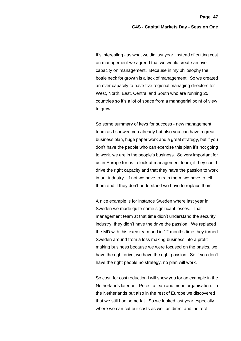It's interesting - as what we did last year, instead of cutting cost on management we agreed that we would create an over capacity on management. Because in my philosophy the bottle neck for growth is a lack of management. So we created an over capacity to have five regional managing directors for West, North, East, Central and South who are running 25 countries so it's a lot of space from a managerial point of view to grow.

So some summary of keys for success - new management team as I showed you already but also you can have a great business plan, huge paper work and a great strategy, but if you don't have the people who can exercise this plan it's not going to work, we are in the people's business. So very important for us in Europe for us to look at management team, if they could drive the right capacity and that they have the passion to work in our industry. If not we have to train them, we have to tell them and if they don't understand we have to replace them.

A nice example is for instance Sweden where last year in Sweden we made quite some significant losses. That management team at that time didn't understand the security industry; they didn't have the drive the passion. We replaced the MD with this exec team and in 12 months time they turned Sweden around from a loss making business into a profit making business because we were focused on the basics, we have the right drive, we have the right passion. So if you don't have the right people no strategy, no plan will work.

So cost, for cost reduction I will show you for an example in the Netherlands later on. Price - a lean and mean organisation. In the Netherlands but also in the rest of Europe we discovered that we still had some fat. So we looked last year especially where we can cut our costs as well as direct and indirect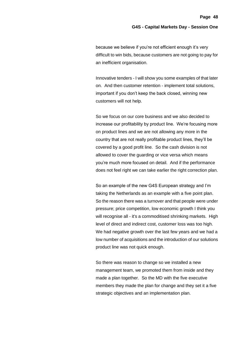because we believe if you're not efficient enough it's very difficult to win bids, because customers are not going to pay for an inefficient organisation.

Innovative tenders - I will show you some examples of that later on. And then customer retention - implement total solutions, important if you don't keep the back closed, winning new customers will not help.

So we focus on our core business and we also decided to increase our profitability by product line. We're focusing more on product lines and we are not allowing any more in the country that are not really profitable product lines, they'll be covered by a good profit line. So the cash division is not allowed to cover the guarding or vice versa which means you're much more focused on detail. And if the performance does not feel right we can take earlier the right correction plan.

So an example of the new G4S European strategy and I'm taking the Netherlands as an example with a five point plan. So the reason there was a turnover and that people were under pressure; price competition, low economic growth I think you will recognise all - it's a commoditised shrinking markets. High level of direct and indirect cost, customer loss was too high. We had negative growth over the last few years and we had a low number of acquisitions and the introduction of our solutions product line was not quick enough.

So there was reason to change so we installed a new management team, we promoted them from inside and they made a plan together. So the MD with the five executive members they made the plan for change and they set it a five strategic objectives and an implementation plan.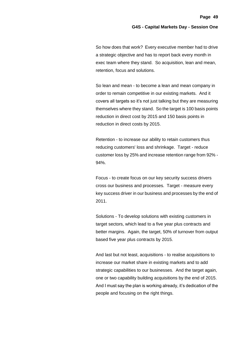So how does that work? Every executive member had to drive a strategic objective and has to report back every month in exec team where they stand. So acquisition, lean and mean, retention, focus and solutions.

So lean and mean - to become a lean and mean company in order to remain competitive in our existing markets. And it covers all targets so it's not just talking but they are measuring themselves where they stand. So the target is 100 basis points reduction in direct cost by 2015 and 150 basis points in reduction in direct costs by 2015.

Retention - to increase our ability to retain customers thus reducing customers' loss and shrinkage. Target - reduce customer loss by 25% and increase retention range from 92% - 94%.

Focus - to create focus on our key security success drivers cross our business and processes. Target - measure every key success driver in our business and processes by the end of 2011.

Solutions - To develop solutions with existing customers in target sectors, which lead to a five year plus contracts and better margins. Again, the target, 50% of turnover from output based five year plus contracts by 2015.

And last but not least, acquisitions - to realise acquisitions to increase our market share in existing markets and to add strategic capabilities to our businesses. And the target again, one or two capability building acquisitions by the end of 2015. And I must say the plan is working already, it's dedication of the people and focusing on the right things.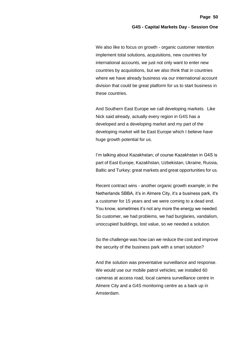We also like to focus on growth - organic customer retention implement total solutions, acquisitions, new countries for international accounts, we just not only want to enter new countries by acquisitions, but we also think that in countries where we have already business via our international account division that could be great platform for us to start business in these countries.

And Southern East Europe we call developing markets. Like Nick said already, actually every region in G4S has a developed and a developing market and my part of the developing market will be East Europe which I believe have huge growth potential for us.

I'm talking about Kazakhstan; of course Kazakhstan in G4S is part of East Europe, Kazakhstan, Uzbekistan, Ukraine, Russia, Baltic and Turkey; great markets and great opportunities for us.

Recent contract wins - another organic growth example; in the Netherlands SBBA, it's in Almere City, it's a business park, it's a customer for 15 years and we were coming to a dead end. You know, sometimes it's not any more the energy we needed. So customer, we had problems, we had burglaries, vandalism, unoccupied buildings, lost value, so we needed a solution.

So the challenge was how can we reduce the cost and improve the security of the business park with a smart solution?

And the solution was preventative surveillance and response. We would use our mobile patrol vehicles; we installed 60 cameras at access road, local camera surveillance centre in Almere City and a G4S monitoring centre as a back up in Amsterdam.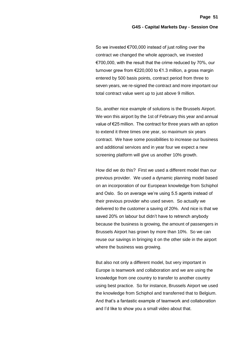So we invested €700,000 instead of just rolling over the contract we changed the whole approach, we invested €700,000, with the result that the crime reduced by 70%, our turnover grew from €220,000 to €1.3 million, a gross margin entered by 500 basis points, contract period from three to seven years, we re-signed the contract and more important our total contract value went up to just above 9 million.

So, another nice example of solutions is the Brussels Airport. We won this airport by the 1st of February this year and annual value of €25 million. The contract for three years with an option to extend it three times one year, so maximum six years contract. We have some possibilities to increase our business and additional services and in year four we expect a new screening platform will give us another 10% growth.

How did we do this? First we used a different model than our previous provider. We used a dynamic planning model based on an incorporation of our European knowledge from Schiphol and Oslo. So on average we're using 5.5 agents instead of their previous provider who used seven. So actually we delivered to the customer a saving of 20%. And nice is that we saved 20% on labour but didn't have to retrench anybody because the business is growing, the amount of passengers in Brussels Airport has grown by more than 10%. So we can reuse our savings in bringing it on the other side in the airport where the business was growing.

But also not only a different model, but very important in Europe is teamwork and collaboration and we are using the knowledge from one country to transfer to another country using best practice. So for instance, Brussels Airport we used the knowledge from Schiphol and transferred that to Belgium. And that's a fantastic example of teamwork and collaboration and I'd like to show you a small video about that.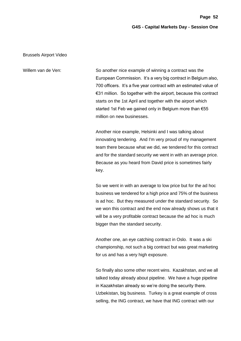# Brussels Airport Video

Willem van de Ven: So another nice example of winning a contract was the European Commission. It's a very big contract in Belgium also, 700 officers. It's a five year contract with an estimated value of €31 million. So together with the airport, because this contract starts on the 1st April and together with the airport which started 1st Feb we gained only in Belgium more than €55 million on new businesses.

> Another nice example, Helsinki and I was talking about innovating tendering. And I'm very proud of my management team there because what we did, we tendered for this contract and for the standard security we went in with an average price. Because as you heard from David price is sometimes fairly key.

> So we went in with an average to low price but for the ad hoc business we tendered for a high price and 75% of the business is ad hoc. But they measured under the standard security. So we won this contract and the end now already shows us that it will be a very profitable contract because the ad hoc is much bigger than the standard security.

> Another one, an eye catching contract in Oslo. It was a ski championship, not such a big contract but was great marketing for us and has a very high exposure.

> So finally also some other recent wins. Kazakhstan, and we all talked today already about pipeline. We have a huge pipeline in Kazakhstan already so we're doing the security there. Uzbekistan, big business. Turkey is a great example of cross selling, the ING contract, we have that ING contract with our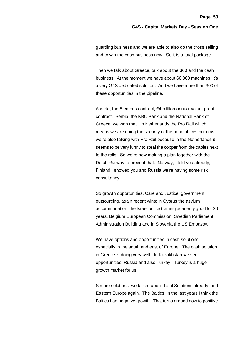guarding business and we are able to also do the cross selling and to win the cash business now. So it is a total package.

Then we talk about Greece, talk about the 360 and the cash business. At the moment we have about 60 360 machines, it's a very G4S dedicated solution. And we have more than 300 of these opportunities in the pipeline.

Austria, the Siemens contract, €4 million annual value, great contract. Serbia, the KBC Bank and the National Bank of Greece, we won that. In Netherlands the Pro Rail which means we are doing the security of the head offices but now we're also talking with Pro Rail because in the Netherlands it seems to be very funny to steal the copper from the cables next to the rails. So we're now making a plan together with the Dutch Railway to prevent that. Norway, I told you already, Finland I showed you and Russia we're having some risk consultancy.

So growth opportunities, Care and Justice, government outsourcing, again recent wins; in Cyprus the asylum accommodation, the Israel police training academy good for 20 years, Belgium European Commission, Swedish Parliament Administration Building and in Slovenia the US Embassy.

We have options and opportunities in cash solutions, especially in the south and east of Europe. The cash solution in Greece is doing very well. In Kazakhstan we see opportunities, Russia and also Turkey. Turkey is a huge growth market for us.

Secure solutions, we talked about Total Solutions already, and Eastern Europe again. The Baltics, in the last years I think the Baltics had negative growth. That turns around now to positive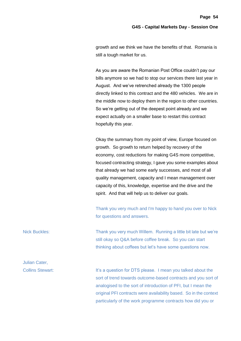growth and we think we have the benefits of that. Romania is still a tough market for us.

As you are aware the Romanian Post Office couldn't pay our bills anymore so we had to stop our services there last year in August. And we've retrenched already the 1300 people directly linked to this contract and the 480 vehicles. We are in the middle now to deploy them in the region to other countries. So we're getting out of the deepest point already and we expect actually on a smaller base to restart this contract hopefully this year.

Okay the summary from my point of view, Europe focused on growth. So growth to return helped by recovery of the economy, cost reductions for making G4S more competitive, focused contracting strategy, I gave you some examples about that already we had some early successes, and most of all quality management, capacity and I mean management over capacity of this, knowledge, expertise and the drive and the spirit. And that will help us to deliver our goals.

Thank you very much and I'm happy to hand you over to Nick for questions and answers.

Nick Buckles: Thank you very much Willem. Running a little bit late but we're still okay so Q&A before coffee break. So you can start thinking about coffees but let's have some questions now.

Julian Cater,

Collins Stewart: It's a question for DTS please. I mean you talked about the sort of trend towards outcome-based contracts and you sort of analogised to the sort of introduction of PFI, but I mean the original PFI contracts were availability based. So in the context particularly of the work programme contracts how did you or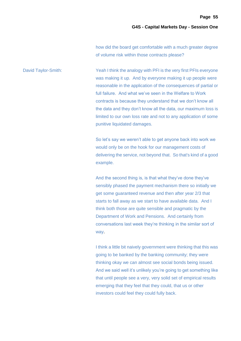how did the board get comfortable with a much greater degree of volume risk within those contracts please?

David Taylor-Smith: Yeah I think the analogy with PFI is the very first PFIs everyone was making it up. And by everyone making it up people were reasonable in the application of the consequences of partial or full failure. And what we've seen in the Welfare to Work contracts is because they understand that we don't know all the data and they don't know all the data, our maximum loss is limited to our own loss rate and not to any application of some punitive liquidated damages.

> So let's say we weren't able to get anyone back into work we would only be on the hook for our management costs of delivering the service, not beyond that. So that's kind of a good example.

And the second thing is, is that what they've done they've sensibly phased the payment mechanism there so initially we get some guaranteed revenue and then after year 2/3 that starts to fall away as we start to have available data. And I think both those are quite sensible and pragmatic by the Department of Work and Pensions. And certainly from conversations last week they're thinking in the similar sort of way.

I think a little bit naively government were thinking that this was going to be banked by the banking community; they were thinking okay we can almost see social bonds being issued. And we said well it's unlikely you're going to get something like that until people see a very, very solid set of empirical results emerging that they feel that they could, that us or other investors could feel they could fully back.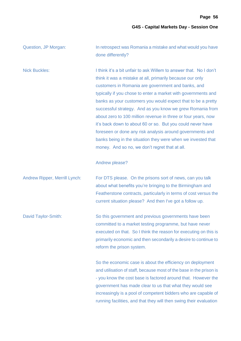| Question, JP Morgan:                 | In retrospect was Romania a mistake and what would you have<br>done differently?                                                                                                                                                                                                                                                                                                                                                                                                                                                                                                                                                                                                                                    |
|--------------------------------------|---------------------------------------------------------------------------------------------------------------------------------------------------------------------------------------------------------------------------------------------------------------------------------------------------------------------------------------------------------------------------------------------------------------------------------------------------------------------------------------------------------------------------------------------------------------------------------------------------------------------------------------------------------------------------------------------------------------------|
| <b>Nick Buckles:</b>                 | I think it's a bit unfair to ask Willem to answer that. No I don't<br>think it was a mistake at all, primarily because our only<br>customers in Romania are government and banks, and<br>typically if you chose to enter a market with governments and<br>banks as your customers you would expect that to be a pretty<br>successful strategy. And as you know we grew Romania from<br>about zero to 100 million revenue in three or four years, now<br>it's back down to about 60 or so. But you could never have<br>foreseen or done any risk analysis around governments and<br>banks being in the situation they were when we invested that<br>money. And so no, we don't regret that at all.<br>Andrew please? |
| <b>Andrew Ripper, Merrill Lynch:</b> | For DTS please. On the prisons sort of news, can you talk<br>about what benefits you're bringing to the Birmingham and<br>Featherstone contracts, particularly in terms of cost versus the<br>current situation please? And then I've got a follow up.                                                                                                                                                                                                                                                                                                                                                                                                                                                              |
| David Taylor-Smith:                  | So this government and previous governments have been<br>committed to a market testing programme, but have never<br>executed on that. So I think the reason for executing on this is<br>primarily economic and then secondarily a desire to continue to<br>reform the prison system.                                                                                                                                                                                                                                                                                                                                                                                                                                |
|                                      | So the economic case is about the efficiency on deployment<br>and utilisation of staff, because most of the base in the prison is<br>- you know the cost base is factored around that. However the<br>government has made clear to us that what they would see<br>increasingly is a pool of competent bidders who are capable of<br>running facilities, and that they will then swing their evaluation                                                                                                                                                                                                                                                                                                              |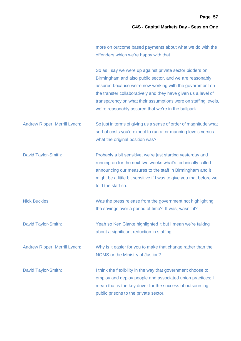|  | more on outcome based payments about what we do with the |  |  |
|--|----------------------------------------------------------|--|--|
|  | offenders which we're happy with that.                   |  |  |

So as I say we were up against private sector bidders on Birmingham and also public sector, and we are reasonably assured because we're now working with the government on the transfer collaboratively and they have given us a level of transparency on what their assumptions were on staffing levels, we're reasonably assured that we're in the ballpark.

Andrew Ripper, Merrill Lynch: So just in terms of giving us a sense of order of magnitude what sort of costs you'd expect to run at or manning levels versus what the original position was?

David Taylor-Smith: Probably a bit sensitive, we're just starting yesterday and running on for the next two weeks what's technically called announcing our measures to the staff in Birmingham and it might be a little bit sensitive if I was to give you that before we told the staff so.

Nick Buckles: Was the press release from the government not highlighting the savings over a period of time? It was, wasn't it?

David Taylor-Smith: Yeah so Ken Clarke highlighted it but I mean we're talking about a significant reduction in staffing.

Andrew Ripper, Merrill Lynch: Why is it easier for you to make that change rather than the NOMS or the Ministry of Justice?

David Taylor-Smith: I think the flexibility in the way that government choose to employ and deploy people and associated union practices; I mean that is the key driver for the success of outsourcing public prisons to the private sector.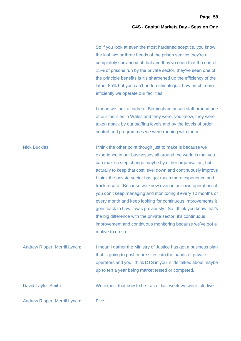So if you look at even the most hardened sceptics, you know the last two or three heads of the prison service they're all completely convinced of that and they've seen that the sort of 15% of prisons run by the private sector, they've seen one of the principle benefits is it's sharpened up the efficiency of the latent 85% but you can't underestimate just how much more efficiently we operate our facilities.

I mean we took a cadre of Birmingham prison staff around one of our facilities in Wales and they were, you know, they were taken aback by our staffing levels and by the levels of order control and programmes we were running with them.

Nick Buckles: I think the other point though just to make is because we experience in our businesses all around the world is that you can make a step change maybe by either organisation, but actually to keep that cost level down and continuously improve I think the private sector has got much more experience and track record. Because we know even in our own operations if you don't keep managing and monitoring it every 12 months or every month and keep looking for continuous improvements it goes back to how it was previously. So I think you know that's the big difference with the private sector, it's continuous improvement and continuous monitoring because we've got a motive to do so.

Andrew Ripper, Merrill Lynch: I mean I gather the Ministry of Justice has got a business plan that is going to push more sites into the hands of private operators and you I think DTS in your slide talked about maybe up to ten a year being market tested or competed.

David Taylor-Smith: We expect that now to be - as of last week we were told five.

Andrew Ripper, Merrill Lynch: Five.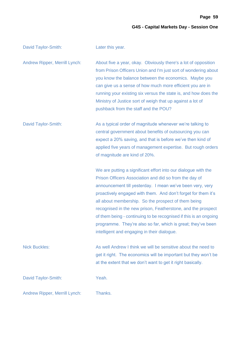**Page 59**

# **G4S - Capital Markets Day - Session One**

| David Taylor-Smith:           | Later this year.                                                                                                                                                                                                                                                                                                                                                                                                                                                                                                                                                  |
|-------------------------------|-------------------------------------------------------------------------------------------------------------------------------------------------------------------------------------------------------------------------------------------------------------------------------------------------------------------------------------------------------------------------------------------------------------------------------------------------------------------------------------------------------------------------------------------------------------------|
| Andrew Ripper, Merrill Lynch: | About five a year, okay. Obviously there's a lot of opposition<br>from Prison Officers Union and I'm just sort of wondering about<br>you know the balance between the economics. Maybe you<br>can give us a sense of how much more efficient you are in<br>running your existing six versus the state is, and how does the<br>Ministry of Justice sort of weigh that up against a lot of<br>pushback from the staff and the POU?                                                                                                                                  |
| David Taylor-Smith:           | As a typical order of magnitude whenever we're talking to<br>central government about benefits of outsourcing you can<br>expect a 20% saving, and that is before we've then kind of<br>applied five years of management expertise. But rough orders<br>of magnitude are kind of 20%.                                                                                                                                                                                                                                                                              |
|                               | We are putting a significant effort into our dialogue with the<br>Prison Officers Association and did so from the day of<br>announcement till yesterday. I mean we've been very, very<br>proactively engaged with them. And don't forget for them it's<br>all about membership. So the prospect of them being<br>recognised in the new prison, Featherstone, and the prospect<br>of them being - continuing to be recognised if this is an ongoing<br>programme. They're also so far, which is great; they've been<br>intelligent and engaging in their dialogue. |
| <b>Nick Buckles:</b>          | As well Andrew I think we will be sensitive about the need to<br>get it right. The economics will be important but they won't be<br>at the extent that we don't want to get it right basically.                                                                                                                                                                                                                                                                                                                                                                   |
| David Taylor-Smith:           | Yeah.                                                                                                                                                                                                                                                                                                                                                                                                                                                                                                                                                             |
| Andrew Ripper, Merrill Lynch: | Thanks.                                                                                                                                                                                                                                                                                                                                                                                                                                                                                                                                                           |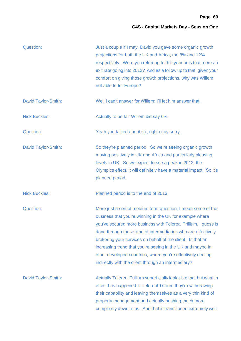| Question:            | Just a couple if I may, David you gave some organic growth<br>projections for both the UK and Africa, the 8% and 12%<br>respectively. Were you referring to this year or is that more an<br>exit rate going into 2012? And as a follow up to that, given your<br>comfort on giving those growth projections, why was Willem<br>not able to for Europe?                                                                                                                                                          |
|----------------------|-----------------------------------------------------------------------------------------------------------------------------------------------------------------------------------------------------------------------------------------------------------------------------------------------------------------------------------------------------------------------------------------------------------------------------------------------------------------------------------------------------------------|
| David Taylor-Smith:  | Well I can't answer for Willem; I'll let him answer that.                                                                                                                                                                                                                                                                                                                                                                                                                                                       |
| <b>Nick Buckles:</b> | Actually to be fair Willem did say 6%.                                                                                                                                                                                                                                                                                                                                                                                                                                                                          |
| Question:            | Yeah you talked about six, right okay sorry.                                                                                                                                                                                                                                                                                                                                                                                                                                                                    |
| David Taylor-Smith:  | So they're planned period. So we're seeing organic growth<br>moving positively in UK and Africa and particularly pleasing<br>levels in UK. So we expect to see a peak in 2012, the<br>Olympics effect, it will definitely have a material impact. So it's<br>planned period.                                                                                                                                                                                                                                    |
| <b>Nick Buckles:</b> | Planned period is to the end of 2013.                                                                                                                                                                                                                                                                                                                                                                                                                                                                           |
| Question:            | More just a sort of medium term question, I mean some of the<br>business that you're winning in the UK for example where<br>you've secured more business with Telereal Trillium, I guess is<br>done through these kind of intermediaries who are effectively<br>brokering your services on behalf of the client. Is that an<br>increasing trend that you're seeing in the UK and maybe in<br>other developed countries, where you're effectively dealing<br>indirectly with the client through an intermediary? |
| David Taylor-Smith:  | Actually Telereal Trillium superficially looks like that but what in<br>effect has happened is Telereal Trillium they're withdrawing<br>their capability and leaving themselves as a very thin kind of<br>property management and actually pushing much more<br>complexity down to us. And that is transitioned extremely well.                                                                                                                                                                                 |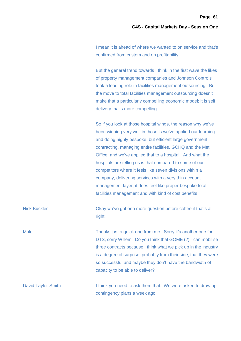I mean it is ahead of where we wanted to on service and that's confirmed from custom and on profitability.

But the general trend towards I think in the first wave the likes of property management companies and Johnson Controls took a leading role in facilities management outsourcing. But the move to total facilities management outsourcing doesn't make that a particularly compelling economic model; it is self delivery that's more compelling.

So if you look at those hospital wings, the reason why we've been winning very well in those is we've applied our learning and doing highly bespoke, but efficient large government contracting, managing entire facilities, GCHQ and the Met Office, and we've applied that to a hospital. And what the hospitals are telling us is that compared to some of our competitors where it feels like seven divisions within a company, delivering services with a very thin account management layer, it does feel like proper bespoke total facilities management and with kind of cost benefits.

Nick Buckles: Okay we've got one more question before coffee if that's all right.

Male: Thanks just a quick one from me. Sorry it's another one for DTS, sorry Willem. Do you think that GOME (?) - can mobilise three contracts because I think what we pick up in the industry is a degree of surprise, probably from their side, that they were so successful and maybe they don't have the bandwidth of capacity to be able to deliver?

David Taylor-Smith: I think you need to ask them that. We were asked to draw up contingency plans a week ago.